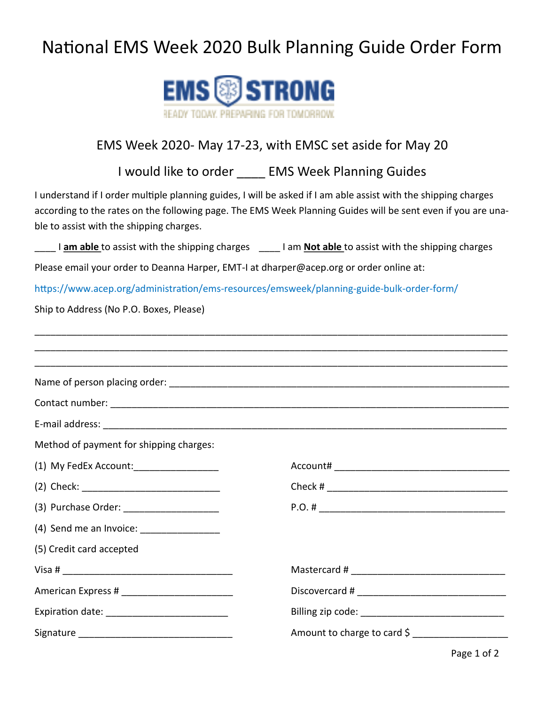## National EMS Week 2020 Bulk Planning Guide Order Form



## EMS Week 2020- May 17-23, with EMSC set aside for May 20

I would like to order EMS Week Planning Guides

I understand if I order multiple planning guides, I will be asked if I am able assist with the shipping charges according to the rates on the following page. The EMS Week Planning Guides will be sent even if you are unable to assist with the shipping charges.

\_\_\_\_ I **am able** to assist with the shipping charges \_\_\_\_ I am **Not able** to assist with the shipping charges

Please email your order to Deanna Harper, EMT-I at dharper@acep.org or order online at:

https://www.acep.org/administration/ems-resources/emsweek/planning-guide-bulk-order-form/

Ship to Address (No P.O. Boxes, Please)

| Method of payment for shipping charges:    |                             |
|--------------------------------------------|-----------------------------|
| (1) My FedEx Account: ___________________  |                             |
|                                            |                             |
| (3) Purchase Order: ______________________ |                             |
| (4) Send me an Invoice: __________________ |                             |
| (5) Credit card accepted                   |                             |
|                                            |                             |
|                                            |                             |
|                                            |                             |
|                                            | Amount to charge to card \$ |

Page 1 of 2